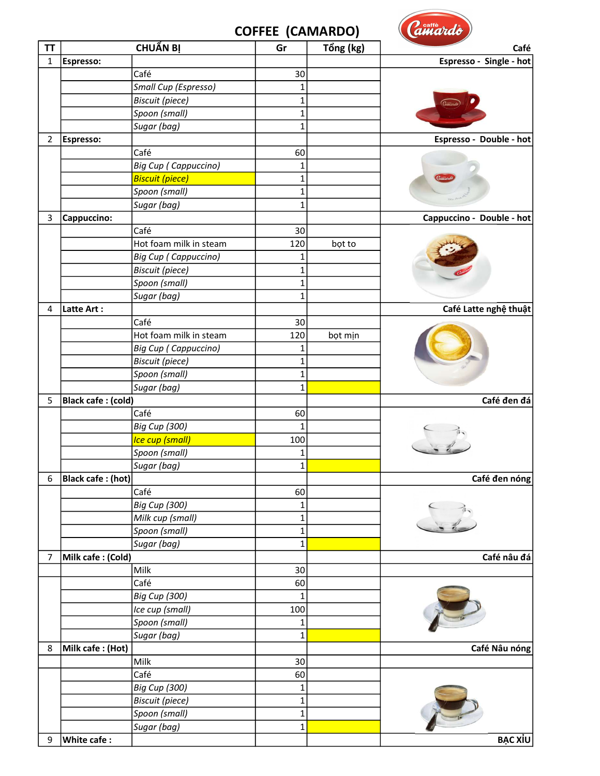## COFFEE (CAMARDO)



|                |                     |                              | .            | $\sqrt{2}$ |                           |
|----------------|---------------------|------------------------------|--------------|------------|---------------------------|
| <b>TT</b>      |                     | <b>CHUẨN BỊ</b>              | Gr           | Tổng (kg)  | Café                      |
| $\mathbf{1}$   | Espresso:           |                              |              |            | Espresso - Single - hot   |
|                |                     | Café                         | 30           |            |                           |
|                |                     | Small Cup (Espresso)         | 1            |            |                           |
|                |                     | <b>Biscuit</b> (piece)       | 1            |            |                           |
|                |                     | Spoon (small)                | 1            |            |                           |
|                |                     | Sugar (bag)                  | 1            |            |                           |
| $\overline{2}$ | <b>Espresso:</b>    |                              |              |            | Espresso - Double - hot   |
|                |                     | Café                         | 60           |            |                           |
|                |                     | Big Cup (Cappuccino)         | 1            |            |                           |
|                |                     | <b>Biscuit</b> (piece)       | 1            |            |                           |
|                |                     | Spoon (small)                | $\mathbf{1}$ |            |                           |
|                |                     | Sugar (bag)                  | $\mathbf{1}$ |            |                           |
| 3              | Cappuccino:         |                              |              |            | Cappuccino - Double - hot |
|                |                     | Café                         | 30           |            |                           |
|                |                     | Hot foam milk in steam       | 120          | bọt to     |                           |
|                |                     | Big Cup (Cappuccino)         | 1            |            |                           |
|                |                     | <b>Biscuit</b> (piece)       | 1            |            |                           |
|                |                     | Spoon (small)                | 1            |            |                           |
|                |                     | Sugar (bag)                  | 1            |            |                           |
| 4              | Latte Art:          |                              |              |            | Café Latte nghệ thuật     |
|                |                     | Café                         | 30           |            |                           |
|                |                     | Hot foam milk in steam       | 120          | bọt mịn    |                           |
|                |                     | Big Cup (Cappuccino)         | 1            |            |                           |
|                |                     | <b>Biscuit</b> (piece)       | 1            |            |                           |
|                |                     | Spoon (small)                | 1            |            |                           |
|                |                     | Sugar (bag)                  | 1            |            |                           |
| 5              | Black cafe : (cold) |                              |              |            | Café đen đá               |
|                |                     | Café                         | 60           |            |                           |
|                |                     | <b>Big Cup (300)</b>         | $\mathbf{1}$ |            |                           |
|                |                     | <mark>Ice cup (small)</mark> | 100          |            |                           |
|                |                     | Spoon (small)                | 1            |            |                           |
|                |                     | Sugar (bag)                  | 1            |            |                           |
| 6              | Black cafe: (hot)   |                              |              |            | Café đen nóng             |
|                |                     | Café                         | 60           |            |                           |
|                |                     | <b>Big Cup (300)</b>         | 1            |            |                           |
|                |                     | Milk cup (small)             | $\mathbf{1}$ |            |                           |
|                |                     | Spoon (small)                | 1            |            |                           |
|                |                     | Sugar (bag)                  | $\mathbf{1}$ |            |                           |
| $\overline{7}$ | Milk cafe : (Cold)  |                              |              |            | Café nâu đá               |
|                |                     | Milk                         | 30           |            |                           |
|                |                     | Café                         | 60           |            |                           |
|                |                     | <b>Big Cup (300)</b>         | 1            |            |                           |
|                |                     | Ice cup (small)              | 100          |            |                           |
|                |                     | Spoon (small)                | 1            |            |                           |
|                |                     | Sugar (bag)                  | $\mathbf{1}$ |            |                           |
| 8              | Milk cafe: (Hot)    |                              |              |            | Café Nâu nóng             |
|                |                     | Milk                         | 30           |            |                           |
|                |                     | Café                         | 60           |            |                           |
|                |                     | <b>Big Cup (300)</b>         | 1            |            |                           |
|                |                     | <b>Biscuit</b> (piece)       | 1            |            |                           |
|                |                     | Spoon (small)                | $\mathbf{1}$ |            |                           |
|                |                     | Sugar (bag)                  | 1            |            |                           |
| 9              | White cafe :        |                              |              |            | <b>BẠC XỈU</b>            |